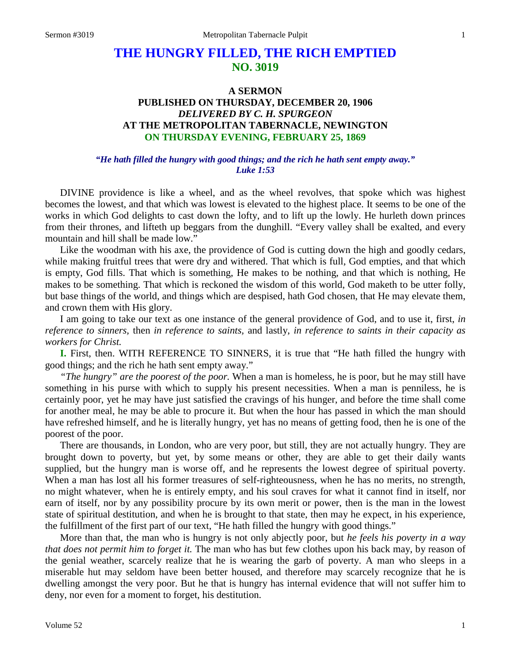# **THE HUNGRY FILLED, THE RICH EMPTIED NO. 3019**

## **A SERMON PUBLISHED ON THURSDAY, DECEMBER 20, 1906** *DELIVERED BY C. H. SPURGEON* **AT THE METROPOLITAN TABERNACLE, NEWINGTON ON THURSDAY EVENING, FEBRUARY 25, 1869**

#### *"He hath filled the hungry with good things; and the rich he hath sent empty away." Luke 1:53*

DIVINE providence is like a wheel, and as the wheel revolves, that spoke which was highest becomes the lowest, and that which was lowest is elevated to the highest place. It seems to be one of the works in which God delights to cast down the lofty, and to lift up the lowly. He hurleth down princes from their thrones, and lifteth up beggars from the dunghill. "Every valley shall be exalted, and every mountain and hill shall be made low."

Like the woodman with his axe, the providence of God is cutting down the high and goodly cedars, while making fruitful trees that were dry and withered. That which is full, God empties, and that which is empty, God fills. That which is something, He makes to be nothing, and that which is nothing, He makes to be something. That which is reckoned the wisdom of this world, God maketh to be utter folly, but base things of the world, and things which are despised, hath God chosen, that He may elevate them, and crown them with His glory.

I am going to take our text as one instance of the general providence of God, and to use it, first, *in reference to sinners,* then *in reference to saints,* and lastly, *in reference to saints in their capacity as workers for Christ.*

**I.** First, then. WITH REFERENCE TO SINNERS, it is true that "He hath filled the hungry with good things; and the rich he hath sent empty away."

*"The hungry" are the poorest of the poor.* When a man is homeless, he is poor, but he may still have something in his purse with which to supply his present necessities. When a man is penniless, he is certainly poor, yet he may have just satisfied the cravings of his hunger, and before the time shall come for another meal, he may be able to procure it. But when the hour has passed in which the man should have refreshed himself, and he is literally hungry, yet has no means of getting food, then he is one of the poorest of the poor.

There are thousands, in London, who are very poor, but still, they are not actually hungry. They are brought down to poverty, but yet, by some means or other, they are able to get their daily wants supplied, but the hungry man is worse off, and he represents the lowest degree of spiritual poverty. When a man has lost all his former treasures of self-righteousness, when he has no merits, no strength, no might whatever, when he is entirely empty, and his soul craves for what it cannot find in itself, nor earn of itself, nor by any possibility procure by its own merit or power, then is the man in the lowest state of spiritual destitution, and when he is brought to that state, then may he expect, in his experience, the fulfillment of the first part of our text, "He hath filled the hungry with good things."

More than that, the man who is hungry is not only abjectly poor, but *he feels his poverty in a way that does not permit him to forget it.* The man who has but few clothes upon his back may, by reason of the genial weather, scarcely realize that he is wearing the garb of poverty. A man who sleeps in a miserable hut may seldom have been better housed, and therefore may scarcely recognize that he is dwelling amongst the very poor. But he that is hungry has internal evidence that will not suffer him to deny, nor even for a moment to forget, his destitution.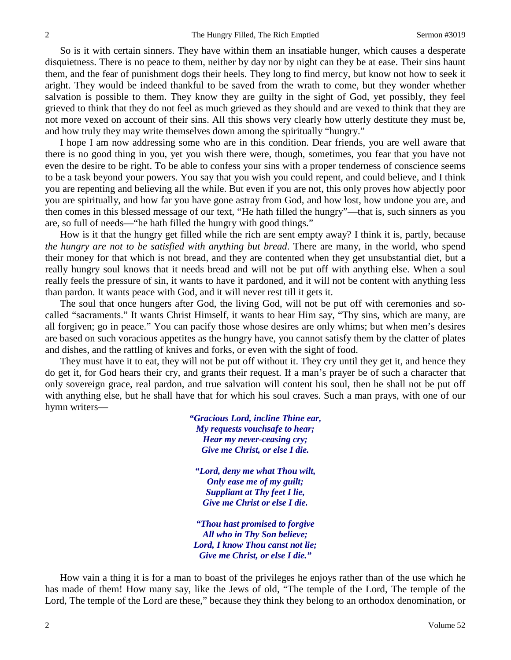So is it with certain sinners. They have within them an insatiable hunger, which causes a desperate disquietness. There is no peace to them, neither by day nor by night can they be at ease. Their sins haunt them, and the fear of punishment dogs their heels. They long to find mercy, but know not how to seek it aright. They would be indeed thankful to be saved from the wrath to come, but they wonder whether salvation is possible to them. They know they are guilty in the sight of God, yet possibly, they feel grieved to think that they do not feel as much grieved as they should and are vexed to think that they are not more vexed on account of their sins. All this shows very clearly how utterly destitute they must be, and how truly they may write themselves down among the spiritually "hungry."

I hope I am now addressing some who are in this condition. Dear friends, you are well aware that there is no good thing in you, yet you wish there were, though, sometimes, you fear that you have not even the desire to be right. To be able to confess your sins with a proper tenderness of conscience seems to be a task beyond your powers. You say that you wish you could repent, and could believe, and I think you are repenting and believing all the while. But even if you are not, this only proves how abjectly poor you are spiritually, and how far you have gone astray from God, and how lost, how undone you are, and then comes in this blessed message of our text, "He hath filled the hungry"—that is, such sinners as you are, so full of needs—"he hath filled the hungry with good things."

How is it that the hungry get filled while the rich are sent empty away? I think it is, partly, because *the hungry are not to be satisfied with anything but bread*. There are many, in the world, who spend their money for that which is not bread, and they are contented when they get unsubstantial diet, but a really hungry soul knows that it needs bread and will not be put off with anything else. When a soul really feels the pressure of sin, it wants to have it pardoned, and it will not be content with anything less than pardon. It wants peace with God, and it will never rest till it gets it.

The soul that once hungers after God, the living God, will not be put off with ceremonies and socalled "sacraments." It wants Christ Himself, it wants to hear Him say, "Thy sins, which are many, are all forgiven; go in peace." You can pacify those whose desires are only whims; but when men's desires are based on such voracious appetites as the hungry have, you cannot satisfy them by the clatter of plates and dishes, and the rattling of knives and forks, or even with the sight of food.

They must have it to eat, they will not be put off without it. They cry until they get it, and hence they do get it, for God hears their cry, and grants their request. If a man's prayer be of such a character that only sovereign grace, real pardon, and true salvation will content his soul, then he shall not be put off with anything else, but he shall have that for which his soul craves. Such a man prays, with one of our hymn writers—

> *"Gracious Lord, incline Thine ear, My requests vouchsafe to hear; Hear my never-ceasing cry; Give me Christ, or else I die.*

*"Lord, deny me what Thou wilt, Only ease me of my guilt; Suppliant at Thy feet I lie, Give me Christ or else I die.*

*"Thou hast promised to forgive All who in Thy Son believe; Lord, I know Thou canst not lie; Give me Christ, or else I die."*

How vain a thing it is for a man to boast of the privileges he enjoys rather than of the use which he has made of them! How many say, like the Jews of old, "The temple of the Lord, The temple of the Lord, The temple of the Lord are these," because they think they belong to an orthodox denomination, or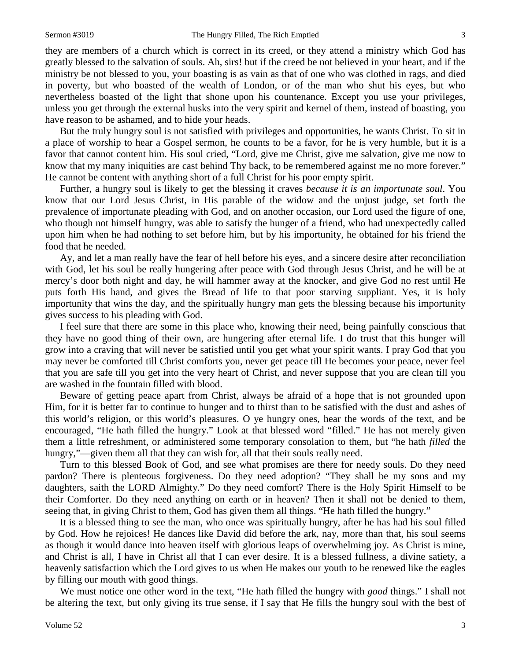they are members of a church which is correct in its creed, or they attend a ministry which God has greatly blessed to the salvation of souls. Ah, sirs! but if the creed be not believed in your heart, and if the ministry be not blessed to you, your boasting is as vain as that of one who was clothed in rags, and died in poverty, but who boasted of the wealth of London, or of the man who shut his eyes, but who nevertheless boasted of the light that shone upon his countenance. Except you use your privileges, unless you get through the external husks into the very spirit and kernel of them, instead of boasting, you have reason to be ashamed, and to hide your heads.

But the truly hungry soul is not satisfied with privileges and opportunities, he wants Christ. To sit in a place of worship to hear a Gospel sermon, he counts to be a favor, for he is very humble, but it is a favor that cannot content him. His soul cried, "Lord, give me Christ, give me salvation, give me now to know that my many iniquities are cast behind Thy back, to be remembered against me no more forever." He cannot be content with anything short of a full Christ for his poor empty spirit.

Further, a hungry soul is likely to get the blessing it craves *because it is an importunate soul*. You know that our Lord Jesus Christ, in His parable of the widow and the unjust judge, set forth the prevalence of importunate pleading with God, and on another occasion, our Lord used the figure of one, who though not himself hungry, was able to satisfy the hunger of a friend, who had unexpectedly called upon him when he had nothing to set before him, but by his importunity, he obtained for his friend the food that he needed.

Ay, and let a man really have the fear of hell before his eyes, and a sincere desire after reconciliation with God, let his soul be really hungering after peace with God through Jesus Christ, and he will be at mercy's door both night and day, he will hammer away at the knocker, and give God no rest until He puts forth His hand, and gives the Bread of life to that poor starving suppliant. Yes, it is holy importunity that wins the day, and the spiritually hungry man gets the blessing because his importunity gives success to his pleading with God.

I feel sure that there are some in this place who, knowing their need, being painfully conscious that they have no good thing of their own, are hungering after eternal life. I do trust that this hunger will grow into a craving that will never be satisfied until you get what your spirit wants. I pray God that you may never be comforted till Christ comforts you, never get peace till He becomes your peace, never feel that you are safe till you get into the very heart of Christ, and never suppose that you are clean till you are washed in the fountain filled with blood.

Beware of getting peace apart from Christ, always be afraid of a hope that is not grounded upon Him, for it is better far to continue to hunger and to thirst than to be satisfied with the dust and ashes of this world's religion, or this world's pleasures. O ye hungry ones, hear the words of the text, and be encouraged, "He hath filled the hungry." Look at that blessed word "filled." He has not merely given them a little refreshment, or administered some temporary consolation to them, but "he hath *filled* the hungry,"—given them all that they can wish for, all that their souls really need.

Turn to this blessed Book of God, and see what promises are there for needy souls. Do they need pardon? There is plenteous forgiveness. Do they need adoption? "They shall be my sons and my daughters, saith the LORD Almighty." Do they need comfort? There is the Holy Spirit Himself to be their Comforter. Do they need anything on earth or in heaven? Then it shall not be denied to them, seeing that, in giving Christ to them, God has given them all things. "He hath filled the hungry."

It is a blessed thing to see the man, who once was spiritually hungry, after he has had his soul filled by God. How he rejoices! He dances like David did before the ark, nay, more than that, his soul seems as though it would dance into heaven itself with glorious leaps of overwhelming joy. As Christ is mine, and Christ is all, I have in Christ all that I can ever desire. It is a blessed fullness, a divine satiety, a heavenly satisfaction which the Lord gives to us when He makes our youth to be renewed like the eagles by filling our mouth with good things.

We must notice one other word in the text, "He hath filled the hungry with *good* things." I shall not be altering the text, but only giving its true sense, if I say that He fills the hungry soul with the best of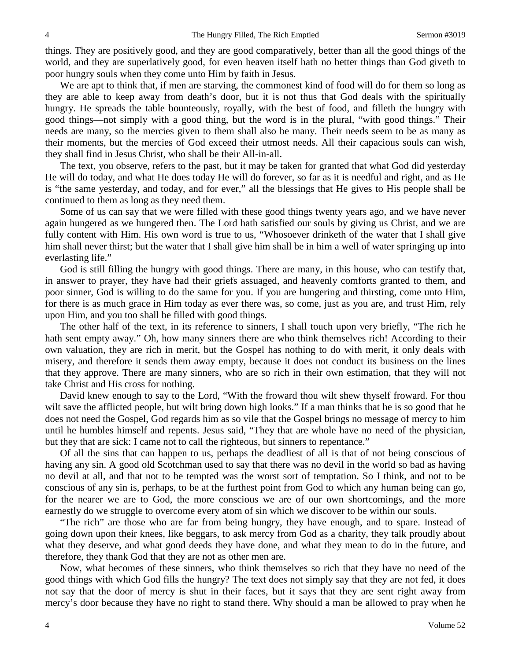things. They are positively good, and they are good comparatively, better than all the good things of the world, and they are superlatively good, for even heaven itself hath no better things than God giveth to poor hungry souls when they come unto Him by faith in Jesus.

We are apt to think that, if men are starving, the commonest kind of food will do for them so long as they are able to keep away from death's door, but it is not thus that God deals with the spiritually hungry. He spreads the table bounteously, royally, with the best of food, and filleth the hungry with good things—not simply with a good thing, but the word is in the plural, "with good things." Their needs are many, so the mercies given to them shall also be many. Their needs seem to be as many as their moments, but the mercies of God exceed their utmost needs. All their capacious souls can wish, they shall find in Jesus Christ, who shall be their All-in-all.

The text, you observe, refers to the past, but it may be taken for granted that what God did yesterday He will do today, and what He does today He will do forever, so far as it is needful and right, and as He is "the same yesterday, and today, and for ever," all the blessings that He gives to His people shall be continued to them as long as they need them.

Some of us can say that we were filled with these good things twenty years ago, and we have never again hungered as we hungered then. The Lord hath satisfied our souls by giving us Christ, and we are fully content with Him. His own word is true to us, "Whosoever drinketh of the water that I shall give him shall never thirst; but the water that I shall give him shall be in him a well of water springing up into everlasting life."

God is still filling the hungry with good things. There are many, in this house, who can testify that, in answer to prayer, they have had their griefs assuaged, and heavenly comforts granted to them, and poor sinner, God is willing to do the same for you. If you are hungering and thirsting, come unto Him, for there is as much grace in Him today as ever there was, so come, just as you are, and trust Him, rely upon Him, and you too shall be filled with good things.

The other half of the text, in its reference to sinners, I shall touch upon very briefly, "The rich he hath sent empty away." Oh, how many sinners there are who think themselves rich! According to their own valuation, they are rich in merit, but the Gospel has nothing to do with merit, it only deals with misery, and therefore it sends them away empty, because it does not conduct its business on the lines that they approve. There are many sinners, who are so rich in their own estimation, that they will not take Christ and His cross for nothing.

David knew enough to say to the Lord, "With the froward thou wilt shew thyself froward. For thou wilt save the afflicted people, but wilt bring down high looks." If a man thinks that he is so good that he does not need the Gospel, God regards him as so vile that the Gospel brings no message of mercy to him until he humbles himself and repents. Jesus said, "They that are whole have no need of the physician, but they that are sick: I came not to call the righteous, but sinners to repentance."

Of all the sins that can happen to us, perhaps the deadliest of all is that of not being conscious of having any sin. A good old Scotchman used to say that there was no devil in the world so bad as having no devil at all, and that not to be tempted was the worst sort of temptation. So I think, and not to be conscious of any sin is, perhaps, to be at the furthest point from God to which any human being can go, for the nearer we are to God, the more conscious we are of our own shortcomings, and the more earnestly do we struggle to overcome every atom of sin which we discover to be within our souls.

"The rich" are those who are far from being hungry, they have enough, and to spare. Instead of going down upon their knees, like beggars, to ask mercy from God as a charity, they talk proudly about what they deserve, and what good deeds they have done, and what they mean to do in the future, and therefore, they thank God that they are not as other men are.

Now, what becomes of these sinners, who think themselves so rich that they have no need of the good things with which God fills the hungry? The text does not simply say that they are not fed, it does not say that the door of mercy is shut in their faces, but it says that they are sent right away from mercy's door because they have no right to stand there. Why should a man be allowed to pray when he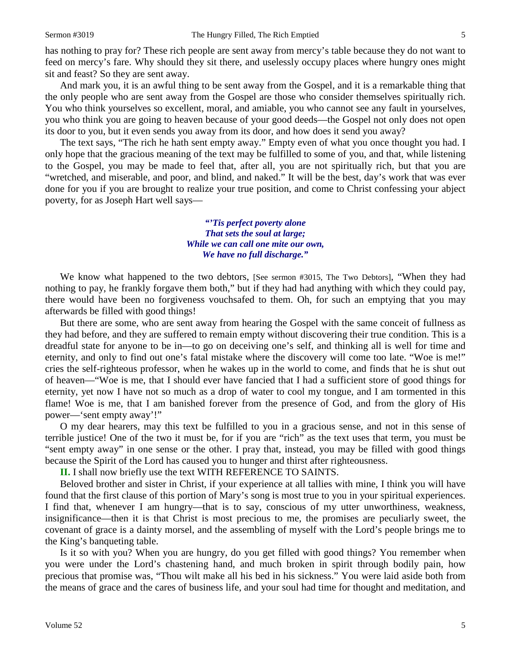has nothing to pray for? These rich people are sent away from mercy's table because they do not want to feed on mercy's fare. Why should they sit there, and uselessly occupy places where hungry ones might sit and feast? So they are sent away.

And mark you, it is an awful thing to be sent away from the Gospel, and it is a remarkable thing that the only people who are sent away from the Gospel are those who consider themselves spiritually rich. You who think yourselves so excellent, moral, and amiable, you who cannot see any fault in yourselves, you who think you are going to heaven because of your good deeds—the Gospel not only does not open its door to you, but it even sends you away from its door, and how does it send you away?

The text says, "The rich he hath sent empty away." Empty even of what you once thought you had. I only hope that the gracious meaning of the text may be fulfilled to some of you, and that, while listening to the Gospel, you may be made to feel that, after all, you are not spiritually rich, but that you are "wretched, and miserable, and poor, and blind, and naked." It will be the best, day's work that was ever done for you if you are brought to realize your true position, and come to Christ confessing your abject poverty, for as Joseph Hart well says—

> *"'Tis perfect poverty alone That sets the soul at large; While we can call one mite our own, We have no full discharge."*

We know what happened to the two debtors, [See sermon #3015, The Two Debtors], "When they had nothing to pay, he frankly forgave them both," but if they had had anything with which they could pay, there would have been no forgiveness vouchsafed to them. Oh, for such an emptying that you may afterwards be filled with good things!

But there are some, who are sent away from hearing the Gospel with the same conceit of fullness as they had before, and they are suffered to remain empty without discovering their true condition. This is a dreadful state for anyone to be in—to go on deceiving one's self, and thinking all is well for time and eternity, and only to find out one's fatal mistake where the discovery will come too late. "Woe is me!" cries the self-righteous professor, when he wakes up in the world to come, and finds that he is shut out of heaven—"Woe is me, that I should ever have fancied that I had a sufficient store of good things for eternity, yet now I have not so much as a drop of water to cool my tongue, and I am tormented in this flame! Woe is me, that I am banished forever from the presence of God, and from the glory of His power—'sent empty away'!"

O my dear hearers, may this text be fulfilled to you in a gracious sense, and not in this sense of terrible justice! One of the two it must be, for if you are "rich" as the text uses that term, you must be "sent empty away" in one sense or the other. I pray that, instead, you may be filled with good things because the Spirit of the Lord has caused you to hunger and thirst after righteousness.

**II.** I shall now briefly use the text WITH REFERENCE TO SAINTS.

Beloved brother and sister in Christ, if your experience at all tallies with mine, I think you will have found that the first clause of this portion of Mary's song is most true to you in your spiritual experiences. I find that, whenever I am hungry—that is to say, conscious of my utter unworthiness, weakness, insignificance—then it is that Christ is most precious to me, the promises are peculiarly sweet, the covenant of grace is a dainty morsel, and the assembling of myself with the Lord's people brings me to the King's banqueting table.

Is it so with you? When you are hungry, do you get filled with good things? You remember when you were under the Lord's chastening hand, and much broken in spirit through bodily pain, how precious that promise was, "Thou wilt make all his bed in his sickness." You were laid aside both from the means of grace and the cares of business life, and your soul had time for thought and meditation, and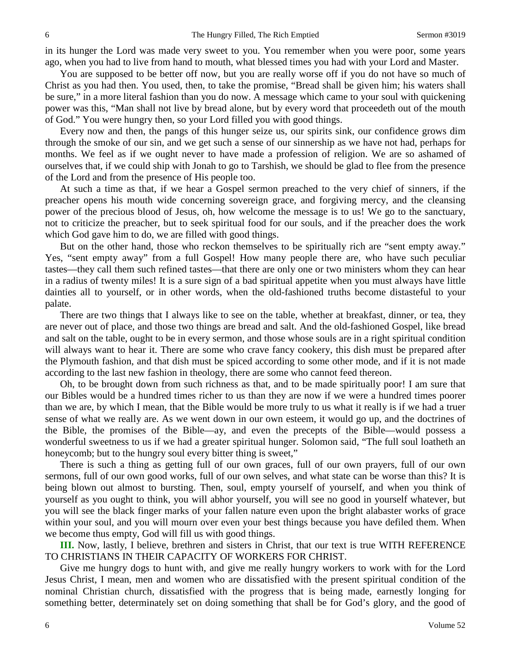in its hunger the Lord was made very sweet to you. You remember when you were poor, some years ago, when you had to live from hand to mouth, what blessed times you had with your Lord and Master.

You are supposed to be better off now, but you are really worse off if you do not have so much of Christ as you had then. You used, then, to take the promise, "Bread shall be given him; his waters shall be sure," in a more literal fashion than you do now. A message which came to your soul with quickening power was this, "Man shall not live by bread alone, but by every word that proceedeth out of the mouth of God." You were hungry then, so your Lord filled you with good things.

Every now and then, the pangs of this hunger seize us, our spirits sink, our confidence grows dim through the smoke of our sin, and we get such a sense of our sinnership as we have not had, perhaps for months. We feel as if we ought never to have made a profession of religion. We are so ashamed of ourselves that, if we could ship with Jonah to go to Tarshish, we should be glad to flee from the presence of the Lord and from the presence of His people too.

At such a time as that, if we hear a Gospel sermon preached to the very chief of sinners, if the preacher opens his mouth wide concerning sovereign grace, and forgiving mercy, and the cleansing power of the precious blood of Jesus, oh, how welcome the message is to us! We go to the sanctuary, not to criticize the preacher, but to seek spiritual food for our souls, and if the preacher does the work which God gave him to do, we are filled with good things.

But on the other hand, those who reckon themselves to be spiritually rich are "sent empty away." Yes, "sent empty away" from a full Gospel! How many people there are, who have such peculiar tastes—they call them such refined tastes—that there are only one or two ministers whom they can hear in a radius of twenty miles! It is a sure sign of a bad spiritual appetite when you must always have little dainties all to yourself, or in other words, when the old-fashioned truths become distasteful to your palate.

There are two things that I always like to see on the table, whether at breakfast, dinner, or tea, they are never out of place, and those two things are bread and salt. And the old-fashioned Gospel, like bread and salt on the table, ought to be in every sermon, and those whose souls are in a right spiritual condition will always want to hear it. There are some who crave fancy cookery, this dish must be prepared after the Plymouth fashion, and that dish must be spiced according to some other mode, and if it is not made according to the last new fashion in theology, there are some who cannot feed thereon.

Oh, to be brought down from such richness as that, and to be made spiritually poor! I am sure that our Bibles would be a hundred times richer to us than they are now if we were a hundred times poorer than we are, by which I mean, that the Bible would be more truly to us what it really is if we had a truer sense of what we really are. As we went down in our own esteem, it would go up, and the doctrines of the Bible, the promises of the Bible—ay, and even the precepts of the Bible—would possess a wonderful sweetness to us if we had a greater spiritual hunger. Solomon said, "The full soul loatheth an honeycomb; but to the hungry soul every bitter thing is sweet,"

There is such a thing as getting full of our own graces, full of our own prayers, full of our own sermons, full of our own good works, full of our own selves, and what state can be worse than this? It is being blown out almost to bursting. Then, soul, empty yourself of yourself, and when you think of yourself as you ought to think, you will abhor yourself, you will see no good in yourself whatever, but you will see the black finger marks of your fallen nature even upon the bright alabaster works of grace within your soul, and you will mourn over even your best things because you have defiled them. When we become thus empty, God will fill us with good things.

**III.** Now, lastly, I believe, brethren and sisters in Christ, that our text is true WITH REFERENCE TO CHRISTIANS IN THEIR CAPACITY OF WORKERS FOR CHRIST.

Give me hungry dogs to hunt with, and give me really hungry workers to work with for the Lord Jesus Christ, I mean, men and women who are dissatisfied with the present spiritual condition of the nominal Christian church, dissatisfied with the progress that is being made, earnestly longing for something better, determinately set on doing something that shall be for God's glory, and the good of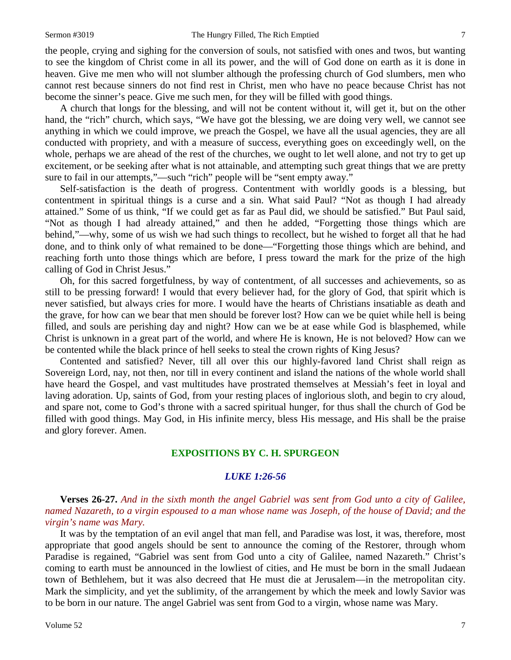the people, crying and sighing for the conversion of souls, not satisfied with ones and twos, but wanting to see the kingdom of Christ come in all its power, and the will of God done on earth as it is done in heaven. Give me men who will not slumber although the professing church of God slumbers, men who cannot rest because sinners do not find rest in Christ, men who have no peace because Christ has not become the sinner's peace. Give me such men, for they will be filled with good things.

A church that longs for the blessing, and will not be content without it, will get it, but on the other hand, the "rich" church, which says, "We have got the blessing, we are doing very well, we cannot see anything in which we could improve, we preach the Gospel, we have all the usual agencies, they are all conducted with propriety, and with a measure of success, everything goes on exceedingly well, on the whole, perhaps we are ahead of the rest of the churches, we ought to let well alone, and not try to get up excitement, or be seeking after what is not attainable, and attempting such great things that we are pretty sure to fail in our attempts,"—such "rich" people will be "sent empty away."

Self-satisfaction is the death of progress. Contentment with worldly goods is a blessing, but contentment in spiritual things is a curse and a sin. What said Paul? "Not as though I had already attained." Some of us think, "If we could get as far as Paul did, we should be satisfied." But Paul said, "Not as though I had already attained," and then he added, "Forgetting those things which are behind,"—why, some of us wish we had such things to recollect, but he wished to forget all that he had done, and to think only of what remained to be done—"Forgetting those things which are behind, and reaching forth unto those things which are before, I press toward the mark for the prize of the high calling of God in Christ Jesus."

Oh, for this sacred forgetfulness, by way of contentment, of all successes and achievements, so as still to be pressing forward! I would that every believer had, for the glory of God, that spirit which is never satisfied, but always cries for more. I would have the hearts of Christians insatiable as death and the grave, for how can we bear that men should be forever lost? How can we be quiet while hell is being filled, and souls are perishing day and night? How can we be at ease while God is blasphemed, while Christ is unknown in a great part of the world, and where He is known, He is not beloved? How can we be contented while the black prince of hell seeks to steal the crown rights of King Jesus?

Contented and satisfied? Never, till all over this our highly-favored land Christ shall reign as Sovereign Lord, nay, not then, nor till in every continent and island the nations of the whole world shall have heard the Gospel, and vast multitudes have prostrated themselves at Messiah's feet in loyal and laving adoration. Up, saints of God, from your resting places of inglorious sloth, and begin to cry aloud, and spare not, come to God's throne with a sacred spiritual hunger, for thus shall the church of God be filled with good things. May God, in His infinite mercy, bless His message, and His shall be the praise and glory forever. Amen.

#### **EXPOSITIONS BY C. H. SPURGEON**

#### *LUKE 1:26-56*

**Verses 26-27.** *And in the sixth month the angel Gabriel was sent from God unto a city of Galilee, named Nazareth, to a virgin espoused to a man whose name was Joseph, of the house of David; and the virgin's name was Mary.*

It was by the temptation of an evil angel that man fell, and Paradise was lost, it was, therefore, most appropriate that good angels should be sent to announce the coming of the Restorer, through whom Paradise is regained, "Gabriel was sent from God unto a city of Galilee, named Nazareth." Christ's coming to earth must be announced in the lowliest of cities, and He must be born in the small Judaean town of Bethlehem, but it was also decreed that He must die at Jerusalem—in the metropolitan city. Mark the simplicity, and yet the sublimity, of the arrangement by which the meek and lowly Savior was to be born in our nature. The angel Gabriel was sent from God to a virgin, whose name was Mary.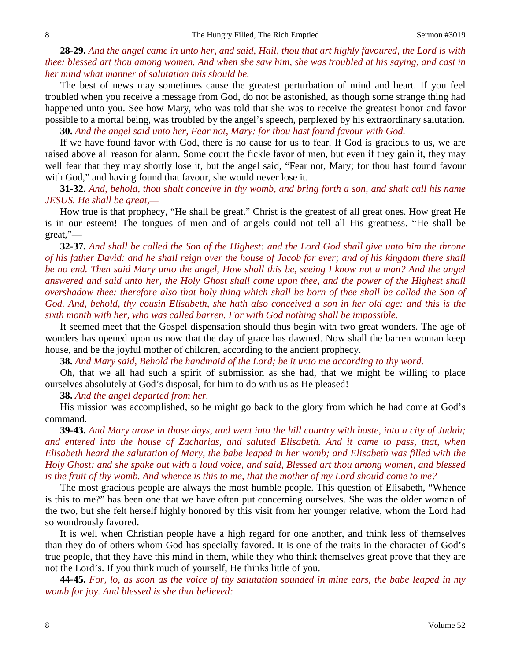**28-29.** *And the angel came in unto her, and said, Hail, thou that art highly favoured, the Lord is with thee: blessed art thou among women. And when she saw him, she was troubled at his saying, and cast in her mind what manner of salutation this should be.*

The best of news may sometimes cause the greatest perturbation of mind and heart. If you feel troubled when you receive a message from God, do not be astonished, as though some strange thing had happened unto you. See how Mary, who was told that she was to receive the greatest honor and favor possible to a mortal being, was troubled by the angel's speech, perplexed by his extraordinary salutation.

**30.** *And the angel said unto her, Fear not, Mary: for thou hast found favour with God.*

If we have found favor with God, there is no cause for us to fear. If God is gracious to us, we are raised above all reason for alarm. Some court the fickle favor of men, but even if they gain it, they may well fear that they may shortly lose it, but the angel said, "Fear not, Mary; for thou hast found favour with God," and having found that favour, she would never lose it.

**31-32.** *And, behold, thou shalt conceive in thy womb, and bring forth a son, and shalt call his name JESUS. He shall be great,—*

How true is that prophecy, "He shall be great." Christ is the greatest of all great ones. How great He is in our esteem! The tongues of men and of angels could not tell all His greatness. "He shall be great,"—

**32-37.** *And shall be called the Son of the Highest: and the Lord God shall give unto him the throne of his father David: and he shall reign over the house of Jacob for ever; and of his kingdom there shall be no end. Then said Mary unto the angel, How shall this be, seeing I know not a man? And the angel answered and said unto her, the Holy Ghost shall come upon thee, and the power of the Highest shall overshadow thee: therefore also that holy thing which shall be born of thee shall be called the Son of God. And, behold, thy cousin Elisabeth, she hath also conceived a son in her old age: and this is the sixth month with her, who was called barren. For with God nothing shall be impossible.*

It seemed meet that the Gospel dispensation should thus begin with two great wonders. The age of wonders has opened upon us now that the day of grace has dawned. Now shall the barren woman keep house, and be the joyful mother of children, according to the ancient prophecy.

**38.** *And Mary said, Behold the handmaid of the Lord; be it unto me according to thy word.*

Oh, that we all had such a spirit of submission as she had, that we might be willing to place ourselves absolutely at God's disposal, for him to do with us as He pleased!

**38.** *And the angel departed from her.*

His mission was accomplished, so he might go back to the glory from which he had come at God's command.

**39-43.** *And Mary arose in those days, and went into the hill country with haste, into a city of Judah; and entered into the house of Zacharias, and saluted Elisabeth. And it came to pass, that, when Elisabeth heard the salutation of Mary, the babe leaped in her womb; and Elisabeth was filled with the Holy Ghost: and she spake out with a loud voice, and said, Blessed art thou among women, and blessed is the fruit of thy womb. And whence is this to me, that the mother of my Lord should come to me?*

The most gracious people are always the most humble people. This question of Elisabeth, "Whence is this to me?" has been one that we have often put concerning ourselves. She was the older woman of the two, but she felt herself highly honored by this visit from her younger relative, whom the Lord had so wondrously favored.

It is well when Christian people have a high regard for one another, and think less of themselves than they do of others whom God has specially favored. It is one of the traits in the character of God's true people, that they have this mind in them, while they who think themselves great prove that they are not the Lord's. If you think much of yourself, He thinks little of you.

**44-45.** *For, lo, as soon as the voice of thy salutation sounded in mine ears, the babe leaped in my womb for joy. And blessed is she that believed:*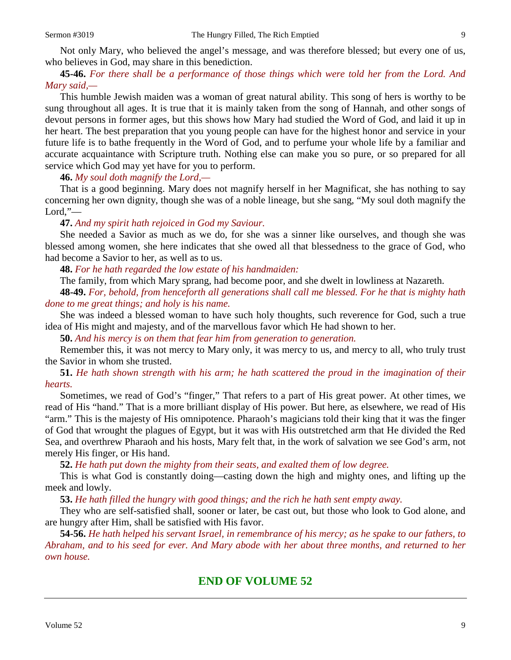Not only Mary, who believed the angel's message, and was therefore blessed; but every one of us, who believes in God, may share in this benediction.

### **45-46.** *For there shall be a performance of those things which were told her from the Lord. And Mary said,—*

This humble Jewish maiden was a woman of great natural ability. This song of hers is worthy to be sung throughout all ages. It is true that it is mainly taken from the song of Hannah, and other songs of devout persons in former ages, but this shows how Mary had studied the Word of God, and laid it up in her heart. The best preparation that you young people can have for the highest honor and service in your future life is to bathe frequently in the Word of God, and to perfume your whole life by a familiar and accurate acquaintance with Scripture truth. Nothing else can make you so pure, or so prepared for all service which God may yet have for you to perform.

**46.** *My soul doth magnify the Lord,—*

That is a good beginning. Mary does not magnify herself in her Magnificat, she has nothing to say concerning her own dignity, though she was of a noble lineage, but she sang, "My soul doth magnify the Lord,"—

**47.** *And my spirit hath rejoiced in God my Saviour.*

She needed a Savior as much as we do, for she was a sinner like ourselves, and though she was blessed among women, she here indicates that she owed all that blessedness to the grace of God, who had become a Savior to her, as well as to us.

**48.** *For he hath regarded the low estate of his handmaiden:*

The family, from which Mary sprang, had become poor, and she dwelt in lowliness at Nazareth.

**48-49.** *For, behold, from henceforth all generations shall call me blessed. For he that is mighty hath done to me great things; and holy is his name.*

She was indeed a blessed woman to have such holy thoughts, such reverence for God, such a true idea of His might and majesty, and of the marvellous favor which He had shown to her.

**50.** *And his mercy is on them that fear him from generation to generation.*

Remember this, it was not mercy to Mary only, it was mercy to us, and mercy to all, who truly trust the Savior in whom she trusted.

**51.** *He hath shown strength with his arm; he hath scattered the proud in the imagination of their hearts.*

Sometimes, we read of God's "finger," That refers to a part of His great power. At other times, we read of His "hand." That is a more brilliant display of His power. But here, as elsewhere, we read of His "arm." This is the majesty of His omnipotence. Pharaoh's magicians told their king that it was the finger of God that wrought the plagues of Egypt, but it was with His outstretched arm that He divided the Red Sea, and overthrew Pharaoh and his hosts, Mary felt that, in the work of salvation we see God's arm, not merely His finger, or His hand.

**52.** *He hath put down the mighty from their seats, and exalted them of low degree.*

This is what God is constantly doing—casting down the high and mighty ones, and lifting up the meek and lowly.

**53.** *He hath filled the hungry with good things; and the rich he hath sent empty away.*

They who are self-satisfied shall, sooner or later, be cast out, but those who look to God alone, and are hungry after Him, shall be satisfied with His favor.

**54-56.** *He hath helped his servant Israel, in remembrance of his mercy; as he spake to our fathers, to Abraham, and to his seed for ever. And Mary abode with her about three months, and returned to her own house.*

# **END OF VOLUME 52**